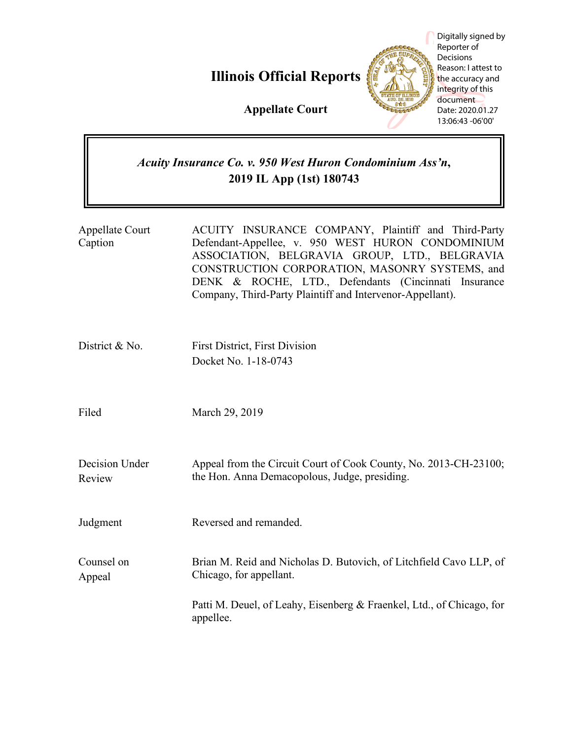**Illinois Official Reports**



Digitally signed by Reporter of Decisions Reason: I attest to the accuracy and integrity of this document Date: 2020.01.27 13:06:43 -06'00'

**Appellate Court**

# *Acuity Insurance Co. v. 950 West Huron Condominium Ass'n***, 2019 IL App (1st) 180743**

| Appellate Court<br>Caption | ACUITY INSURANCE COMPANY, Plaintiff and Third-Party<br>Defendant-Appellee, v. 950 WEST HURON CONDOMINIUM<br>ASSOCIATION, BELGRAVIA GROUP, LTD., BELGRAVIA<br>CONSTRUCTION CORPORATION, MASONRY SYSTEMS, and<br>DENK & ROCHE, LTD., Defendants (Cincinnati Insurance<br>Company, Third-Party Plaintiff and Intervenor-Appellant). |
|----------------------------|----------------------------------------------------------------------------------------------------------------------------------------------------------------------------------------------------------------------------------------------------------------------------------------------------------------------------------|
| District & No.             | <b>First District, First Division</b><br>Docket No. 1-18-0743                                                                                                                                                                                                                                                                    |
| Filed                      | March 29, 2019                                                                                                                                                                                                                                                                                                                   |
| Decision Under<br>Review   | Appeal from the Circuit Court of Cook County, No. 2013-CH-23100;<br>the Hon. Anna Demacopolous, Judge, presiding.                                                                                                                                                                                                                |
| Judgment                   | Reversed and remanded.                                                                                                                                                                                                                                                                                                           |
| Counsel on<br>Appeal       | Brian M. Reid and Nicholas D. Butovich, of Litchfield Cavo LLP, of<br>Chicago, for appellant.                                                                                                                                                                                                                                    |
|                            | Patti M. Deuel, of Leahy, Eisenberg & Fraenkel, Ltd., of Chicago, for<br>appellee.                                                                                                                                                                                                                                               |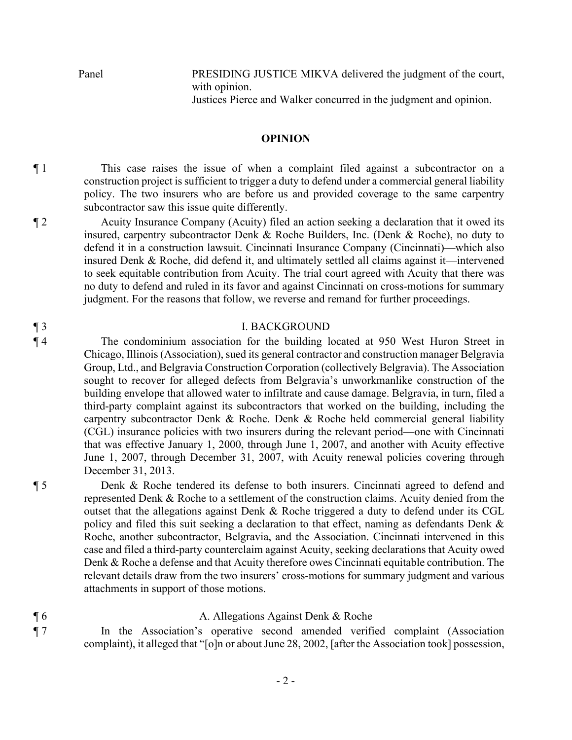Panel PRESIDING JUSTICE MIKVA delivered the judgment of the court, with opinion.

Justices Pierce and Walker concurred in the judgment and opinion.

# **OPINION**

¶ 1 This case raises the issue of when a complaint filed against a subcontractor on a construction project is sufficient to trigger a duty to defend under a commercial general liability policy. The two insurers who are before us and provided coverage to the same carpentry subcontractor saw this issue quite differently.

¶ 2 Acuity Insurance Company (Acuity) filed an action seeking a declaration that it owed its insured, carpentry subcontractor Denk & Roche Builders, Inc. (Denk & Roche), no duty to defend it in a construction lawsuit. Cincinnati Insurance Company (Cincinnati)—which also insured Denk & Roche, did defend it, and ultimately settled all claims against it—intervened to seek equitable contribution from Acuity. The trial court agreed with Acuity that there was no duty to defend and ruled in its favor and against Cincinnati on cross-motions for summary judgment. For the reasons that follow, we reverse and remand for further proceedings.

## ¶ 3 I. BACKGROUND

¶ 4 The condominium association for the building located at 950 West Huron Street in Chicago, Illinois (Association), sued its general contractor and construction manager Belgravia Group, Ltd., and Belgravia Construction Corporation (collectively Belgravia). The Association sought to recover for alleged defects from Belgravia's unworkmanlike construction of the building envelope that allowed water to infiltrate and cause damage. Belgravia, in turn, filed a third-party complaint against its subcontractors that worked on the building, including the carpentry subcontractor Denk & Roche. Denk & Roche held commercial general liability (CGL) insurance policies with two insurers during the relevant period—one with Cincinnati that was effective January 1, 2000, through June 1, 2007, and another with Acuity effective June 1, 2007, through December 31, 2007, with Acuity renewal policies covering through December 31, 2013.

¶ 5 Denk & Roche tendered its defense to both insurers. Cincinnati agreed to defend and represented Denk & Roche to a settlement of the construction claims. Acuity denied from the outset that the allegations against Denk  $\&$  Roche triggered a duty to defend under its CGL policy and filed this suit seeking a declaration to that effect, naming as defendants Denk & Roche, another subcontractor, Belgravia, and the Association. Cincinnati intervened in this case and filed a third-party counterclaim against Acuity, seeking declarations that Acuity owed Denk & Roche a defense and that Acuity therefore owes Cincinnati equitable contribution. The relevant details draw from the two insurers' cross-motions for summary judgment and various attachments in support of those motions.

## ¶ 6 A. Allegations Against Denk & Roche

¶ 7 In the Association's operative second amended verified complaint (Association complaint), it alleged that "[o]n or about June 28, 2002, [after the Association took] possession,

- 2 -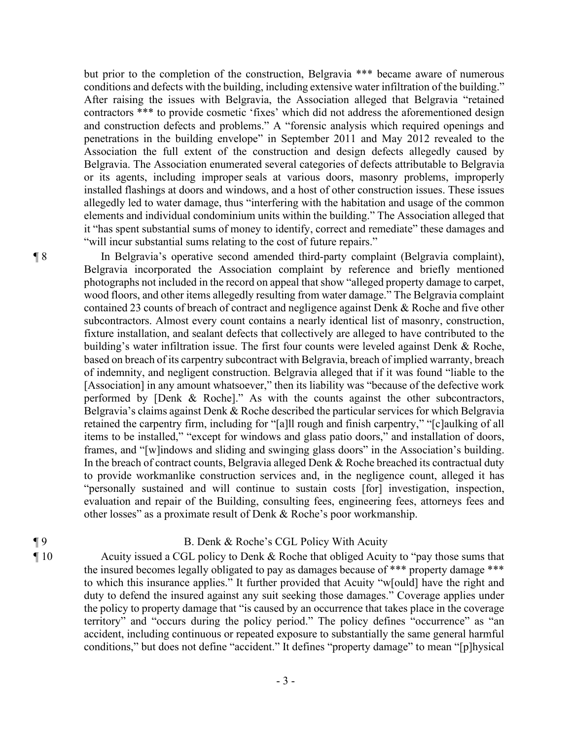but prior to the completion of the construction, Belgravia \*\*\* became aware of numerous conditions and defects with the building, including extensive water infiltration of the building." After raising the issues with Belgravia, the Association alleged that Belgravia "retained contractors \*\*\* to provide cosmetic 'fixes' which did not address the aforementioned design and construction defects and problems." A "forensic analysis which required openings and penetrations in the building envelope" in September 2011 and May 2012 revealed to the Association the full extent of the construction and design defects allegedly caused by Belgravia. The Association enumerated several categories of defects attributable to Belgravia or its agents, including improper seals at various doors, masonry problems, improperly installed flashings at doors and windows, and a host of other construction issues. These issues allegedly led to water damage, thus "interfering with the habitation and usage of the common elements and individual condominium units within the building." The Association alleged that it "has spent substantial sums of money to identify, correct and remediate" these damages and "will incur substantial sums relating to the cost of future repairs."

¶ 8 In Belgravia's operative second amended third-party complaint (Belgravia complaint), Belgravia incorporated the Association complaint by reference and briefly mentioned photographs not included in the record on appeal that show "alleged property damage to carpet, wood floors, and other items allegedly resulting from water damage." The Belgravia complaint contained 23 counts of breach of contract and negligence against Denk & Roche and five other subcontractors. Almost every count contains a nearly identical list of masonry, construction, fixture installation, and sealant defects that collectively are alleged to have contributed to the building's water infiltration issue. The first four counts were leveled against Denk & Roche, based on breach of its carpentry subcontract with Belgravia, breach of implied warranty, breach of indemnity, and negligent construction. Belgravia alleged that if it was found "liable to the [Association] in any amount whatsoever," then its liability was "because of the defective work performed by [Denk & Roche]." As with the counts against the other subcontractors, Belgravia's claims against Denk & Roche described the particular services for which Belgravia retained the carpentry firm, including for "[a]ll rough and finish carpentry," "[c]aulking of all items to be installed," "except for windows and glass patio doors," and installation of doors, frames, and "[w]indows and sliding and swinging glass doors" in the Association's building. In the breach of contract counts, Belgravia alleged Denk & Roche breached its contractual duty to provide workmanlike construction services and, in the negligence count, alleged it has "personally sustained and will continue to sustain costs [for] investigation, inspection, evaluation and repair of the Building, consulting fees, engineering fees, attorneys fees and other losses" as a proximate result of Denk & Roche's poor workmanship.

# ¶ 9 B. Denk & Roche's CGL Policy With Acuity

¶ 10 Acuity issued a CGL policy to Denk & Roche that obliged Acuity to "pay those sums that the insured becomes legally obligated to pay as damages because of \*\*\* property damage \*\*\* to which this insurance applies." It further provided that Acuity "w[ould] have the right and duty to defend the insured against any suit seeking those damages." Coverage applies under the policy to property damage that "is caused by an occurrence that takes place in the coverage territory" and "occurs during the policy period." The policy defines "occurrence" as "an accident, including continuous or repeated exposure to substantially the same general harmful conditions," but does not define "accident." It defines "property damage" to mean "[p]hysical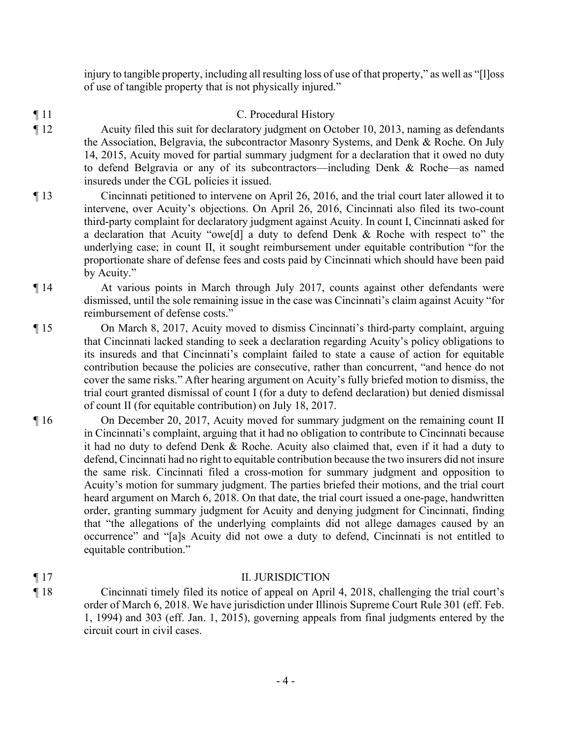injury to tangible property, including all resulting loss of use of that property," as well as "[l]oss of use of tangible property that is not physically injured."

- ¶ 11 C. Procedural History
- ¶ 12 Acuity filed this suit for declaratory judgment on October 10, 2013, naming as defendants the Association, Belgravia, the subcontractor Masonry Systems, and Denk & Roche. On July 14, 2015, Acuity moved for partial summary judgment for a declaration that it owed no duty to defend Belgravia or any of its subcontractors—including Denk & Roche—as named insureds under the CGL policies it issued.
- ¶ 13 Cincinnati petitioned to intervene on April 26, 2016, and the trial court later allowed it to intervene, over Acuity's objections. On April 26, 2016, Cincinnati also filed its two-count third-party complaint for declaratory judgment against Acuity. In count I, Cincinnati asked for a declaration that Acuity "owe[d] a duty to defend Denk & Roche with respect to" the underlying case; in count II, it sought reimbursement under equitable contribution "for the proportionate share of defense fees and costs paid by Cincinnati which should have been paid by Acuity."
- ¶ 14 At various points in March through July 2017, counts against other defendants were dismissed, until the sole remaining issue in the case was Cincinnati's claim against Acuity "for reimbursement of defense costs."
- ¶ 15 On March 8, 2017, Acuity moved to dismiss Cincinnati's third-party complaint, arguing that Cincinnati lacked standing to seek a declaration regarding Acuity's policy obligations to its insureds and that Cincinnati's complaint failed to state a cause of action for equitable contribution because the policies are consecutive, rather than concurrent, "and hence do not cover the same risks." After hearing argument on Acuity's fully briefed motion to dismiss, the trial court granted dismissal of count I (for a duty to defend declaration) but denied dismissal of count II (for equitable contribution) on July 18, 2017.
- ¶ 16 On December 20, 2017, Acuity moved for summary judgment on the remaining count II in Cincinnati's complaint, arguing that it had no obligation to contribute to Cincinnati because it had no duty to defend Denk & Roche. Acuity also claimed that, even if it had a duty to defend, Cincinnati had no right to equitable contribution because the two insurers did not insure the same risk. Cincinnati filed a cross-motion for summary judgment and opposition to Acuity's motion for summary judgment. The parties briefed their motions, and the trial court heard argument on March 6, 2018. On that date, the trial court issued a one-page, handwritten order, granting summary judgment for Acuity and denying judgment for Cincinnati, finding that "the allegations of the underlying complaints did not allege damages caused by an occurrence" and "[a]s Acuity did not owe a duty to defend, Cincinnati is not entitled to equitable contribution."
- ¶ 17 II. JURISDICTION ¶ 18 Cincinnati timely filed its notice of appeal on April 4, 2018, challenging the trial court's order of March 6, 2018. We have jurisdiction under Illinois Supreme Court Rule 301 (eff. Feb. 1, 1994) and 303 (eff. Jan. 1, 2015), governing appeals from final judgments entered by the circuit court in civil cases.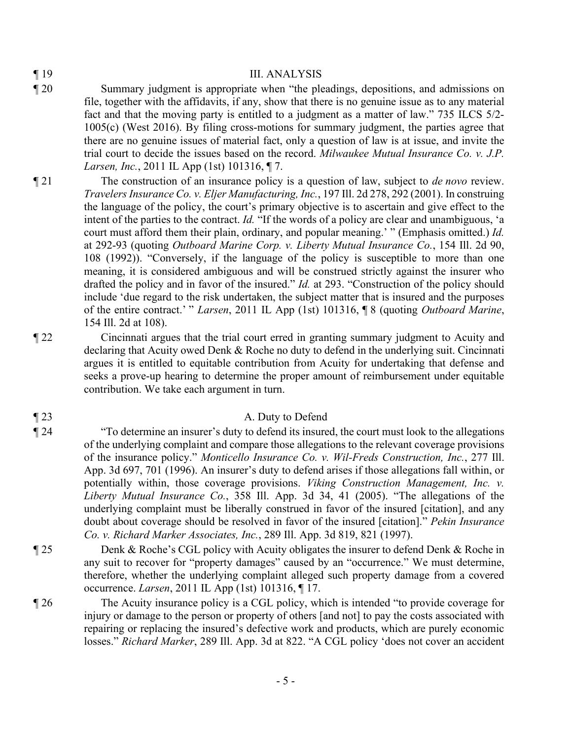## ¶ 19 III. ANALYSIS

- ¶ 20 Summary judgment is appropriate when "the pleadings, depositions, and admissions on file, together with the affidavits, if any, show that there is no genuine issue as to any material fact and that the moving party is entitled to a judgment as a matter of law." 735 ILCS 5/2- 1005(c) (West 2016). By filing cross-motions for summary judgment, the parties agree that there are no genuine issues of material fact, only a question of law is at issue, and invite the trial court to decide the issues based on the record. *Milwaukee Mutual Insurance Co. v. J.P. Larsen, Inc.*, 2011 IL App (1st) 101316, ¶ 7.
- ¶ 21 The construction of an insurance policy is a question of law, subject to *de novo* review. *Travelers Insurance Co. v. Eljer Manufacturing, Inc.*, 197 Ill. 2d 278, 292 (2001). In construing the language of the policy, the court's primary objective is to ascertain and give effect to the intent of the parties to the contract. *Id.* "If the words of a policy are clear and unambiguous, 'a court must afford them their plain, ordinary, and popular meaning.' " (Emphasis omitted.) *Id.* at 292-93 (quoting *Outboard Marine Corp. v. Liberty Mutual Insurance Co.*, 154 Ill. 2d 90, 108 (1992)). "Conversely, if the language of the policy is susceptible to more than one meaning, it is considered ambiguous and will be construed strictly against the insurer who drafted the policy and in favor of the insured." *Id.* at 293. "Construction of the policy should include 'due regard to the risk undertaken, the subject matter that is insured and the purposes of the entire contract.' " *Larsen*, 2011 IL App (1st) 101316, ¶ 8 (quoting *Outboard Marine*, 154 Ill. 2d at 108).

¶ 22 Cincinnati argues that the trial court erred in granting summary judgment to Acuity and declaring that Acuity owed Denk & Roche no duty to defend in the underlying suit. Cincinnati argues it is entitled to equitable contribution from Acuity for undertaking that defense and seeks a prove-up hearing to determine the proper amount of reimbursement under equitable contribution. We take each argument in turn.

# ¶ 23 A. Duty to Defend

¶ 24 "To determine an insurer's duty to defend its insured, the court must look to the allegations of the underlying complaint and compare those allegations to the relevant coverage provisions of the insurance policy." *Monticello Insurance Co. v. Wil-Freds Construction, Inc.*, 277 Ill. App. 3d 697, 701 (1996). An insurer's duty to defend arises if those allegations fall within, or potentially within, those coverage provisions. *Viking Construction Management, Inc. v. Liberty Mutual Insurance Co.*, 358 Ill. App. 3d 34, 41 (2005). "The allegations of the underlying complaint must be liberally construed in favor of the insured [citation], and any doubt about coverage should be resolved in favor of the insured [citation]." *Pekin Insurance Co. v. Richard Marker Associates, Inc.*, 289 Ill. App. 3d 819, 821 (1997).

¶ 25 Denk & Roche's CGL policy with Acuity obligates the insurer to defend Denk & Roche in any suit to recover for "property damages" caused by an "occurrence." We must determine, therefore, whether the underlying complaint alleged such property damage from a covered occurrence. *Larsen*, 2011 IL App (1st) 101316, ¶ 17.

¶ 26 The Acuity insurance policy is a CGL policy, which is intended "to provide coverage for injury or damage to the person or property of others [and not] to pay the costs associated with repairing or replacing the insured's defective work and products, which are purely economic losses." *Richard Marker*, 289 Ill. App. 3d at 822. "A CGL policy 'does not cover an accident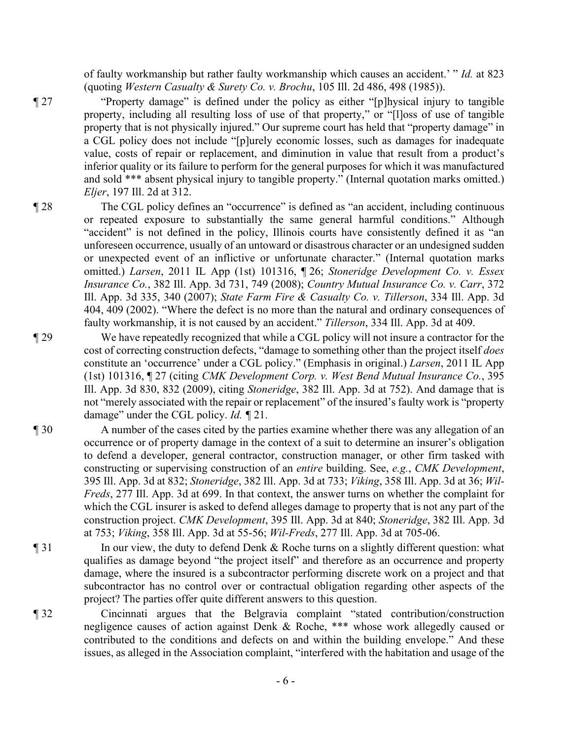of faulty workmanship but rather faulty workmanship which causes an accident.' " *Id.* at 823 (quoting *Western Casualty & Surety Co. v. Brochu*, 105 Ill. 2d 486, 498 (1985)).

¶ 27 "Property damage" is defined under the policy as either "[p]hysical injury to tangible property, including all resulting loss of use of that property," or "[l]oss of use of tangible property that is not physically injured." Our supreme court has held that "property damage" in a CGL policy does not include "[p]urely economic losses, such as damages for inadequate value, costs of repair or replacement, and diminution in value that result from a product's inferior quality or its failure to perform for the general purposes for which it was manufactured and sold \*\*\* absent physical injury to tangible property." (Internal quotation marks omitted.) *Eljer*, 197 Ill. 2d at 312.

¶ 28 The CGL policy defines an "occurrence" is defined as "an accident, including continuous or repeated exposure to substantially the same general harmful conditions." Although "accident" is not defined in the policy, Illinois courts have consistently defined it as "an unforeseen occurrence, usually of an untoward or disastrous character or an undesigned sudden or unexpected event of an inflictive or unfortunate character." (Internal quotation marks omitted.) *Larsen*, 2011 IL App (1st) 101316, ¶ 26; *Stoneridge Development Co. v. Essex Insurance Co.*, 382 Ill. App. 3d 731, 749 (2008); *Country Mutual Insurance Co. v. Carr*, 372 Ill. App. 3d 335, 340 (2007); *State Farm Fire & Casualty Co. v. Tillerson*, 334 Ill. App. 3d 404, 409 (2002). "Where the defect is no more than the natural and ordinary consequences of faulty workmanship, it is not caused by an accident." *Tillerson*, 334 Ill. App. 3d at 409.

¶ 29 We have repeatedly recognized that while a CGL policy will not insure a contractor for the cost of correcting construction defects, "damage to something other than the project itself *does* constitute an 'occurrence' under a CGL policy." (Emphasis in original.) *Larsen*, 2011 IL App (1st) 101316, ¶ 27 (citing *CMK Development Corp. v. West Bend Mutual Insurance Co.*, 395 Ill. App. 3d 830, 832 (2009), citing *Stoneridge*, 382 Ill. App. 3d at 752). And damage that is not "merely associated with the repair or replacement" of the insured's faulty work is "property damage" under the CGL policy. *Id. ¶* 21.

- ¶ 30 A number of the cases cited by the parties examine whether there was any allegation of an occurrence or of property damage in the context of a suit to determine an insurer's obligation to defend a developer, general contractor, construction manager, or other firm tasked with constructing or supervising construction of an *entire* building. See, *e.g.*, *CMK Development*, 395 Ill. App. 3d at 832; *Stoneridge*, 382 Ill. App. 3d at 733; *Viking*, 358 Ill. App. 3d at 36; *Wil-Freds*, 277 Ill. App. 3d at 699. In that context, the answer turns on whether the complaint for which the CGL insurer is asked to defend alleges damage to property that is not any part of the construction project. *CMK Development*, 395 Ill. App. 3d at 840; *Stoneridge*, 382 Ill. App. 3d at 753; *Viking*, 358 Ill. App. 3d at 55-56; *Wil-Freds*, 277 Ill. App. 3d at 705-06.
- ¶ 31 In our view, the duty to defend Denk & Roche turns on a slightly different question: what qualifies as damage beyond "the project itself" and therefore as an occurrence and property damage, where the insured is a subcontractor performing discrete work on a project and that subcontractor has no control over or contractual obligation regarding other aspects of the project? The parties offer quite different answers to this question.
- ¶ 32 Cincinnati argues that the Belgravia complaint "stated contribution/construction negligence causes of action against Denk & Roche, \*\*\* whose work allegedly caused or contributed to the conditions and defects on and within the building envelope." And these issues, as alleged in the Association complaint, "interfered with the habitation and usage of the

- 6 -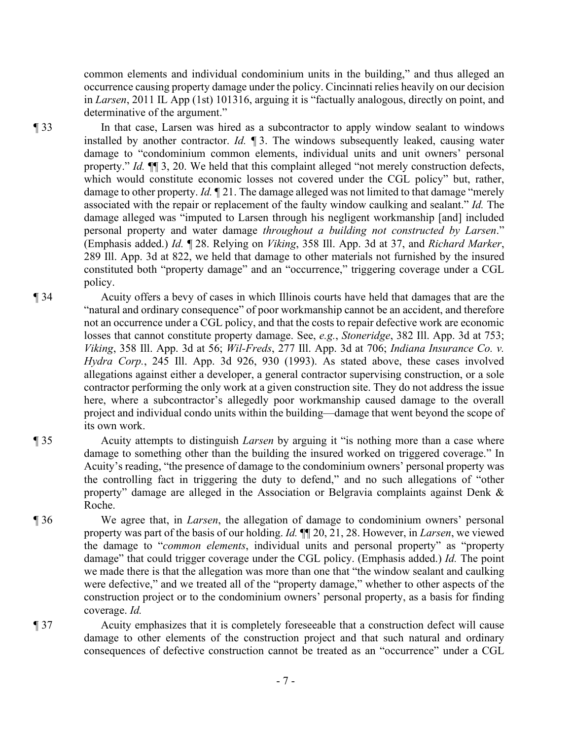common elements and individual condominium units in the building," and thus alleged an occurrence causing property damage under the policy. Cincinnati relies heavily on our decision in *Larsen*, 2011 IL App (1st) 101316, arguing it is "factually analogous, directly on point, and determinative of the argument."

¶ 33 In that case, Larsen was hired as a subcontractor to apply window sealant to windows installed by another contractor. *Id.* ¶ 3. The windows subsequently leaked, causing water damage to "condominium common elements, individual units and unit owners' personal property." *Id.* ¶¶ 3, 20. We held that this complaint alleged "not merely construction defects, which would constitute economic losses not covered under the CGL policy" but, rather, damage to other property. *Id.* ¶ 21. The damage alleged was not limited to that damage "merely associated with the repair or replacement of the faulty window caulking and sealant." *Id.* The damage alleged was "imputed to Larsen through his negligent workmanship [and] included personal property and water damage *throughout a building not constructed by Larsen*." (Emphasis added.) *Id.* ¶ 28. Relying on *Viking*, 358 Ill. App. 3d at 37, and *Richard Marker*, 289 Ill. App. 3d at 822, we held that damage to other materials not furnished by the insured constituted both "property damage" and an "occurrence," triggering coverage under a CGL policy.

- ¶ 34 Acuity offers a bevy of cases in which Illinois courts have held that damages that are the "natural and ordinary consequence" of poor workmanship cannot be an accident, and therefore not an occurrence under a CGL policy, and that the costs to repair defective work are economic losses that cannot constitute property damage. See, *e.g.*, *Stoneridge*, 382 Ill. App. 3d at 753; *Viking*, 358 Ill. App. 3d at 56; *Wil-Freds*, 277 Ill. App. 3d at 706; *Indiana Insurance Co. v. Hydra Corp.*, 245 Ill. App. 3d 926, 930 (1993). As stated above, these cases involved allegations against either a developer, a general contractor supervising construction, or a sole contractor performing the only work at a given construction site. They do not address the issue here, where a subcontractor's allegedly poor workmanship caused damage to the overall project and individual condo units within the building—damage that went beyond the scope of its own work.
- ¶ 35 Acuity attempts to distinguish *Larsen* by arguing it "is nothing more than a case where damage to something other than the building the insured worked on triggered coverage." In Acuity's reading, "the presence of damage to the condominium owners' personal property was the controlling fact in triggering the duty to defend," and no such allegations of "other property" damage are alleged in the Association or Belgravia complaints against Denk & Roche.
- ¶ 36 We agree that, in *Larsen*, the allegation of damage to condominium owners' personal property was part of the basis of our holding. *Id.* ¶¶ 20, 21, 28. However, in *Larsen*, we viewed the damage to "*common elements*, individual units and personal property" as "property damage" that could trigger coverage under the CGL policy. (Emphasis added.) *Id.* The point we made there is that the allegation was more than one that "the window sealant and caulking were defective," and we treated all of the "property damage," whether to other aspects of the construction project or to the condominium owners' personal property, as a basis for finding coverage. *Id.*
- ¶ 37 Acuity emphasizes that it is completely foreseeable that a construction defect will cause damage to other elements of the construction project and that such natural and ordinary consequences of defective construction cannot be treated as an "occurrence" under a CGL
	- 7 -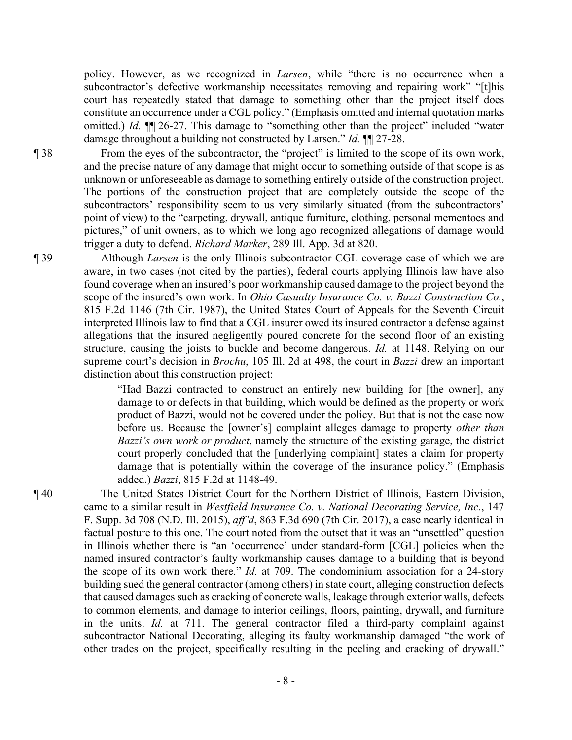policy. However, as we recognized in *Larsen*, while "there is no occurrence when a subcontractor's defective workmanship necessitates removing and repairing work" "[t]his court has repeatedly stated that damage to something other than the project itself does constitute an occurrence under a CGL policy." (Emphasis omitted and internal quotation marks omitted.) *Id.* ¶¶ 26-27. This damage to "something other than the project" included "water damage throughout a building not constructed by Larsen." *Id.* ¶¶ 27-28.

¶ 38 From the eyes of the subcontractor, the "project" is limited to the scope of its own work, and the precise nature of any damage that might occur to something outside of that scope is as unknown or unforeseeable as damage to something entirely outside of the construction project. The portions of the construction project that are completely outside the scope of the subcontractors' responsibility seem to us very similarly situated (from the subcontractors' point of view) to the "carpeting, drywall, antique furniture, clothing, personal mementoes and pictures," of unit owners, as to which we long ago recognized allegations of damage would trigger a duty to defend. *Richard Marker*, 289 Ill. App. 3d at 820.

¶ 39 Although *Larsen* is the only Illinois subcontractor CGL coverage case of which we are aware, in two cases (not cited by the parties), federal courts applying Illinois law have also found coverage when an insured's poor workmanship caused damage to the project beyond the scope of the insured's own work. In *Ohio Casualty Insurance Co. v. Bazzi Construction Co.*, 815 F.2d 1146 (7th Cir. 1987), the United States Court of Appeals for the Seventh Circuit interpreted Illinois law to find that a CGL insurer owed its insured contractor a defense against allegations that the insured negligently poured concrete for the second floor of an existing structure, causing the joists to buckle and become dangerous. *Id.* at 1148. Relying on our supreme court's decision in *Brochu*, 105 Ill. 2d at 498, the court in *Bazzi* drew an important distinction about this construction project:

> "Had Bazzi contracted to construct an entirely new building for [the owner], any damage to or defects in that building, which would be defined as the property or work product of Bazzi, would not be covered under the policy. But that is not the case now before us. Because the [owner's] complaint alleges damage to property *other than Bazzi's own work or product*, namely the structure of the existing garage, the district court properly concluded that the [underlying complaint] states a claim for property damage that is potentially within the coverage of the insurance policy." (Emphasis added.) *Bazzi*, 815 F.2d at 1148-49.

¶ 40 The United States District Court for the Northern District of Illinois, Eastern Division, came to a similar result in *Westfield Insurance Co. v. National Decorating Service, Inc.*, 147 F. Supp. 3d 708 (N.D. Ill. 2015), *aff'd*, 863 F.3d 690 (7th Cir. 2017), a case nearly identical in factual posture to this one. The court noted from the outset that it was an "unsettled" question in Illinois whether there is "an 'occurrence' under standard-form [CGL] policies when the named insured contractor's faulty workmanship causes damage to a building that is beyond the scope of its own work there." *Id.* at 709. The condominium association for a 24-story building sued the general contractor (among others) in state court, alleging construction defects that caused damages such as cracking of concrete walls, leakage through exterior walls, defects to common elements, and damage to interior ceilings, floors, painting, drywall, and furniture in the units. *Id.* at 711. The general contractor filed a third-party complaint against subcontractor National Decorating, alleging its faulty workmanship damaged "the work of other trades on the project, specifically resulting in the peeling and cracking of drywall."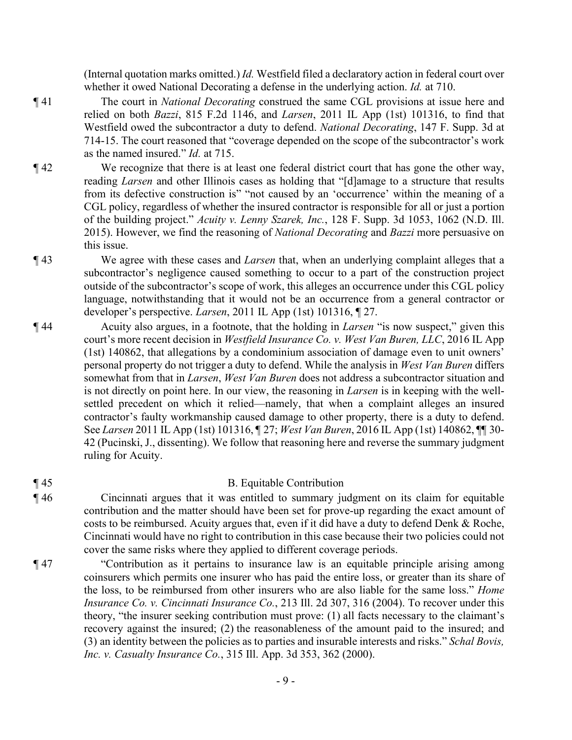(Internal quotation marks omitted.) *Id.* Westfield filed a declaratory action in federal court over whether it owed National Decorating a defense in the underlying action. *Id.* at 710.

- ¶ 41 The court in *National Decorating* construed the same CGL provisions at issue here and relied on both *Bazzi*, 815 F.2d 1146, and *Larsen*, 2011 IL App (1st) 101316, to find that Westfield owed the subcontractor a duty to defend. *National Decorating*, 147 F. Supp. 3d at 714-15. The court reasoned that "coverage depended on the scope of the subcontractor's work as the named insured." *Id.* at 715.
- ¶ 42 We recognize that there is at least one federal district court that has gone the other way, reading *Larsen* and other Illinois cases as holding that "[d]amage to a structure that results from its defective construction is" "not caused by an 'occurrence' within the meaning of a CGL policy, regardless of whether the insured contractor is responsible for all or just a portion of the building project." *Acuity v. Lenny Szarek, Inc.*, 128 F. Supp. 3d 1053, 1062 (N.D. Ill. 2015). However, we find the reasoning of *National Decorating* and *Bazzi* more persuasive on this issue.
- ¶ 43 We agree with these cases and *Larsen* that, when an underlying complaint alleges that a subcontractor's negligence caused something to occur to a part of the construction project outside of the subcontractor's scope of work, this alleges an occurrence under this CGL policy language, notwithstanding that it would not be an occurrence from a general contractor or developer's perspective. *Larsen*, 2011 IL App (1st) 101316, ¶ 27.
- ¶ 44 Acuity also argues, in a footnote, that the holding in *Larsen* "is now suspect," given this court's more recent decision in *Westfield Insurance Co. v. West Van Buren, LLC*, 2016 IL App (1st) 140862, that allegations by a condominium association of damage even to unit owners' personal property do not trigger a duty to defend. While the analysis in *West Van Buren* differs somewhat from that in *Larsen*, *West Van Buren* does not address a subcontractor situation and is not directly on point here. In our view, the reasoning in *Larsen* is in keeping with the wellsettled precedent on which it relied—namely, that when a complaint alleges an insured contractor's faulty workmanship caused damage to other property, there is a duty to defend. See *Larsen* 2011 IL App (1st) 101316, ¶ 27; *West Van Buren*, 2016 IL App (1st) 140862, ¶¶ 30- 42 (Pucinski, J., dissenting). We follow that reasoning here and reverse the summary judgment ruling for Acuity.
- 

# ¶ 45 B. Equitable Contribution

- ¶ 46 Cincinnati argues that it was entitled to summary judgment on its claim for equitable contribution and the matter should have been set for prove-up regarding the exact amount of costs to be reimbursed. Acuity argues that, even if it did have a duty to defend Denk & Roche, Cincinnati would have no right to contribution in this case because their two policies could not cover the same risks where they applied to different coverage periods.
- ¶ 47 "Contribution as it pertains to insurance law is an equitable principle arising among coinsurers which permits one insurer who has paid the entire loss, or greater than its share of the loss, to be reimbursed from other insurers who are also liable for the same loss." *Home Insurance Co. v. Cincinnati Insurance Co.*, 213 Ill. 2d 307, 316 (2004). To recover under this theory, "the insurer seeking contribution must prove: (1) all facts necessary to the claimant's recovery against the insured; (2) the reasonableness of the amount paid to the insured; and (3) an identity between the policies as to parties and insurable interests and risks." *Schal Bovis, Inc. v. Casualty Insurance Co.*, 315 Ill. App. 3d 353, 362 (2000).